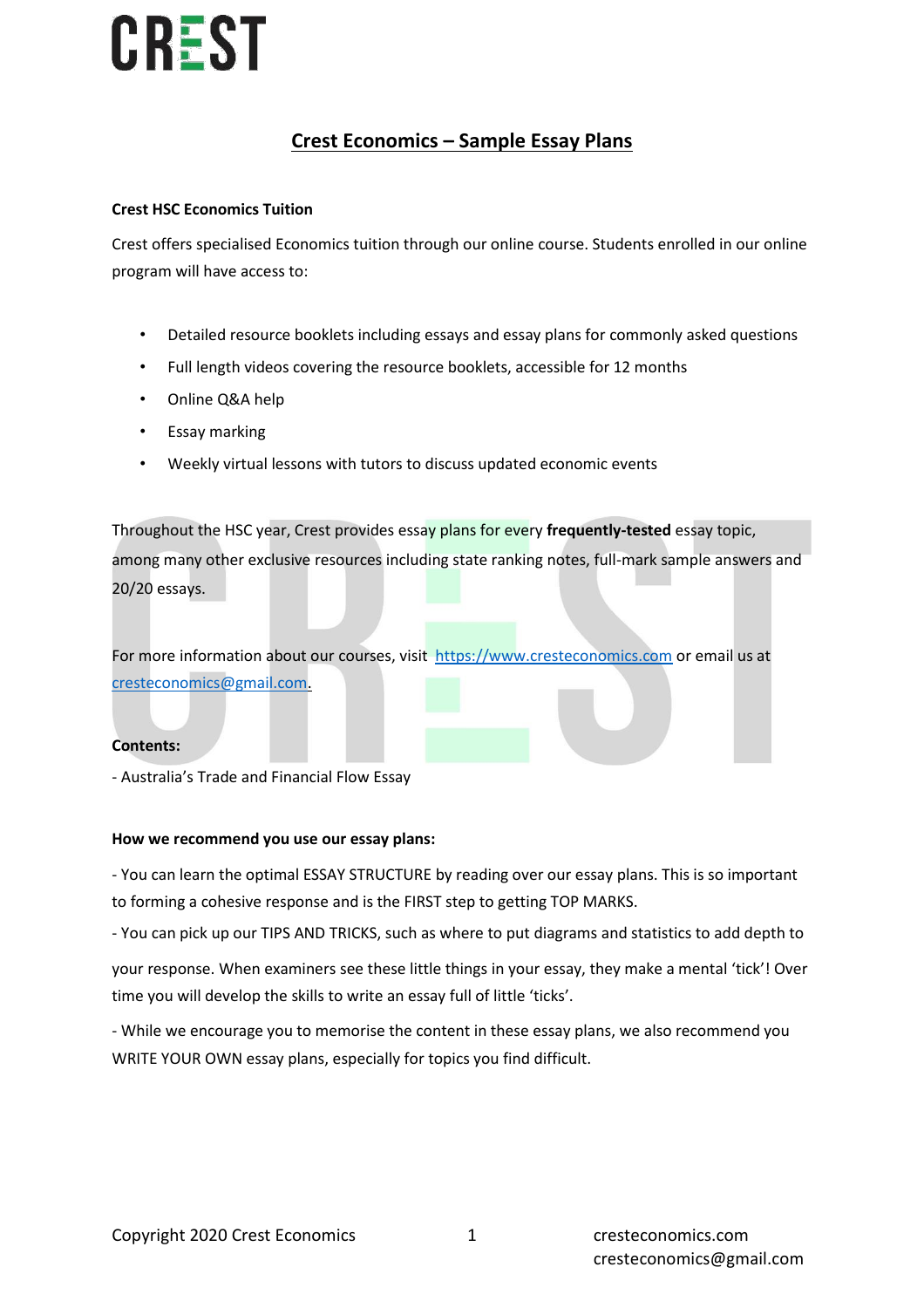### **Crest Economics – Sample Essay Plans**

### **Crest HSC Economics Tuition**

Crest offers specialised Economics tuition through our online course. Students enrolled in our online program will have access to:

- Detailed resource booklets including essays and essay plans for commonly asked questions
- Full length videos covering the resource booklets, accessible for 12 months
- Online Q&A help
- Essay marking
- Weekly virtual lessons with tutors to discuss updated economic events

Throughout the HSC year, Crest provides essay plans for every **frequently-tested** essay topic, among many other exclusive resources including state ranking notes, full-mark sample answers and 20/20 essays.

For more information about our courses, visit [https://www.cresteconomics.com](https://www.cresteconomics.com/) or email us at [cresteconomics@gmail.com.](mailto:cresteconomics@gmail.com)

### **Contents:**

- Australia's Trade and Financial Flow Essay

### **How we recommend you use our essay plans:**

- You can learn the optimal ESSAY STRUCTURE by reading over our essay plans. This is so important to forming a cohesive response and is the FIRST step to getting TOP MARKS.

- You can pick up our TIPS AND TRICKS, such as where to put diagrams and statistics to add depth to

your response. When examiners see these little things in your essay, they make a mental 'tick'! Over time you will develop the skills to write an essay full of little 'ticks'.

- While we encourage you to memorise the content in these essay plans, we also recommend you WRITE YOUR OWN essay plans, especially for topics you find difficult.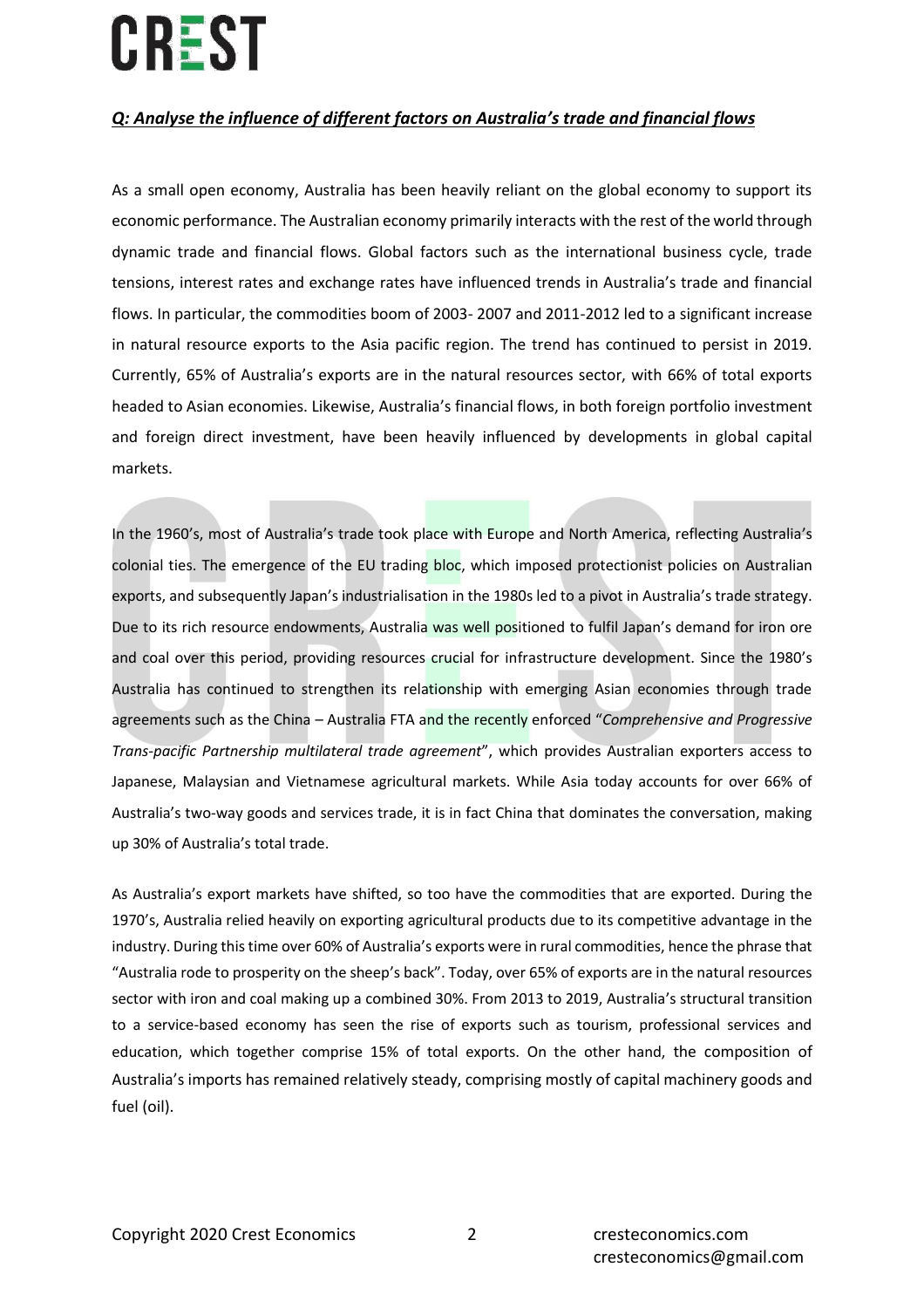### *Q: Analyse the influence of different factors on Australia's trade and financial flows*

As a small open economy, Australia has been heavily reliant on the global economy to support its economic performance. The Australian economy primarily interacts with the rest of the world through dynamic trade and financial flows. Global factors such as the international business cycle, trade tensions, interest rates and exchange rates have influenced trends in Australia's trade and financial flows. In particular, the commodities boom of 2003- 2007 and 2011-2012 led to a significant increase in natural resource exports to the Asia pacific region. The trend has continued to persist in 2019. Currently, 65% of Australia's exports are in the natural resources sector, with 66% of total exports headed to Asian economies. Likewise, Australia's financial flows, in both foreign portfolio investment and foreign direct investment, have been heavily influenced by developments in global capital markets.

In the 1960's, most of Australia's trade took place with Europe and North America, reflecting Australia's colonial ties. The emergence of the EU trading bloc, which imposed protectionist policies on Australian exports, and subsequently Japan's industrialisation in the 1980s led to a pivot in Australia's trade strategy. Due to its rich resource endowments, Australia was well positioned to fulfil Japan's demand for iron ore and coal over this period, providing resources crucial for infrastructure development. Since the 1980's Australia has continued to strengthen its relationship with emerging Asian economies through trade agreements such as the China – Australia FTA and the recently enforced "*Comprehensive and Progressive Trans-pacific Partnership multilateral trade agreement*", which provides Australian exporters access to Japanese, Malaysian and Vietnamese agricultural markets. While Asia today accounts for over 66% of Australia's two-way goods and services trade, it is in fact China that dominates the conversation, making up 30% of Australia's total trade.

As Australia's export markets have shifted, so too have the commodities that are exported. During the 1970's, Australia relied heavily on exporting agricultural products due to its competitive advantage in the industry. During this time over 60% of Australia's exports were in rural commodities, hence the phrase that "Australia rode to prosperity on the sheep's back". Today, over 65% of exports are in the natural resources sector with iron and coal making up a combined 30%. From 2013 to 2019, Australia's structural transition to a service-based economy has seen the rise of exports such as tourism, professional services and education, which together comprise 15% of total exports. On the other hand, the composition of Australia's imports has remained relatively steady, comprising mostly of capital machinery goods and fuel (oil).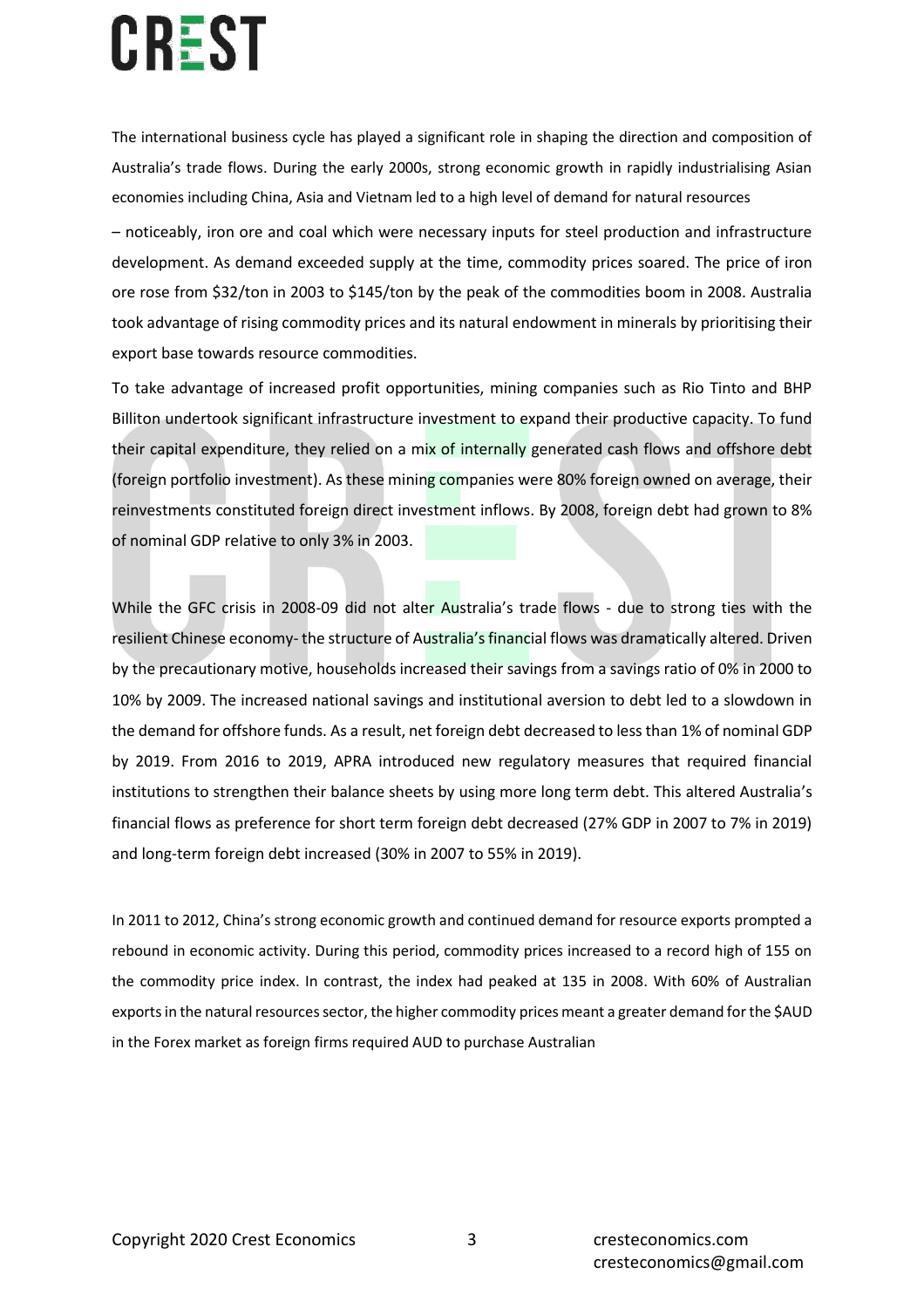The international business cycle has played a significant role in shaping the direction and composition of Australia's trade flows. During the early 2000s, strong economic growth in rapidly industrialising Asian economies including China, Asia and Vietnam led to a high level of demand for natural resources

– noticeably, iron ore and coal which were necessary inputs for steel production and infrastructure development. As demand exceeded supply at the time, commodity prices soared. The price of iron ore rose from \$32/ton in 2003 to \$145/ton by the peak of the commodities boom in 2008. Australia took advantage of rising commodity prices and its natural endowment in minerals by prioritising their export base towards resource commodities.

To take advantage of increased profit opportunities, mining companies such as Rio Tinto and BHP Billiton undertook significant infrastructure investment to expand their productive capacity. To fund their capital expenditure, they relied on a mix of internally generated cash flows and offshore debt (foreign portfolio investment). As these mining companies were 80% foreign owned on average, their reinvestments constituted foreign direct investment inflows. By 2008, foreign debt had grown to 8% of nominal GDP relative to only 3% in 2003.

While the GFC crisis in 2008-09 did not alter Australia's trade flows - due to strong ties with the resilient Chinese economy- the structure of Australia's financial flows was dramatically altered. Driven by the precautionary motive, households increased their savings from a savings ratio of 0% in 2000 to 10% by 2009. The increased national savings and institutional aversion to debt led to a slowdown in the demand for offshore funds. As a result, net foreign debt decreased to less than 1% of nominal GDP by 2019. From 2016 to 2019, APRA introduced new regulatory measures that required financial institutions to strengthen their balance sheets by using more long term debt. This altered Australia's financial flows as preference for short term foreign debt decreased (27% GDP in 2007 to 7% in 2019) and long-term foreign debt increased (30% in 2007 to 55% in 2019).

In 2011 to 2012, China's strong economic growth and continued demand for resource exports prompted a rebound in economic activity. During this period, commodity prices increased to a record high of 155 on the commodity price index. In contrast, the index had peaked at 135 in 2008. With 60% of Australian exports in the natural resources sector, the higher commodity prices meant a greater demand for the \$AUD in the Forex market as foreign firms required AUD to purchase Australian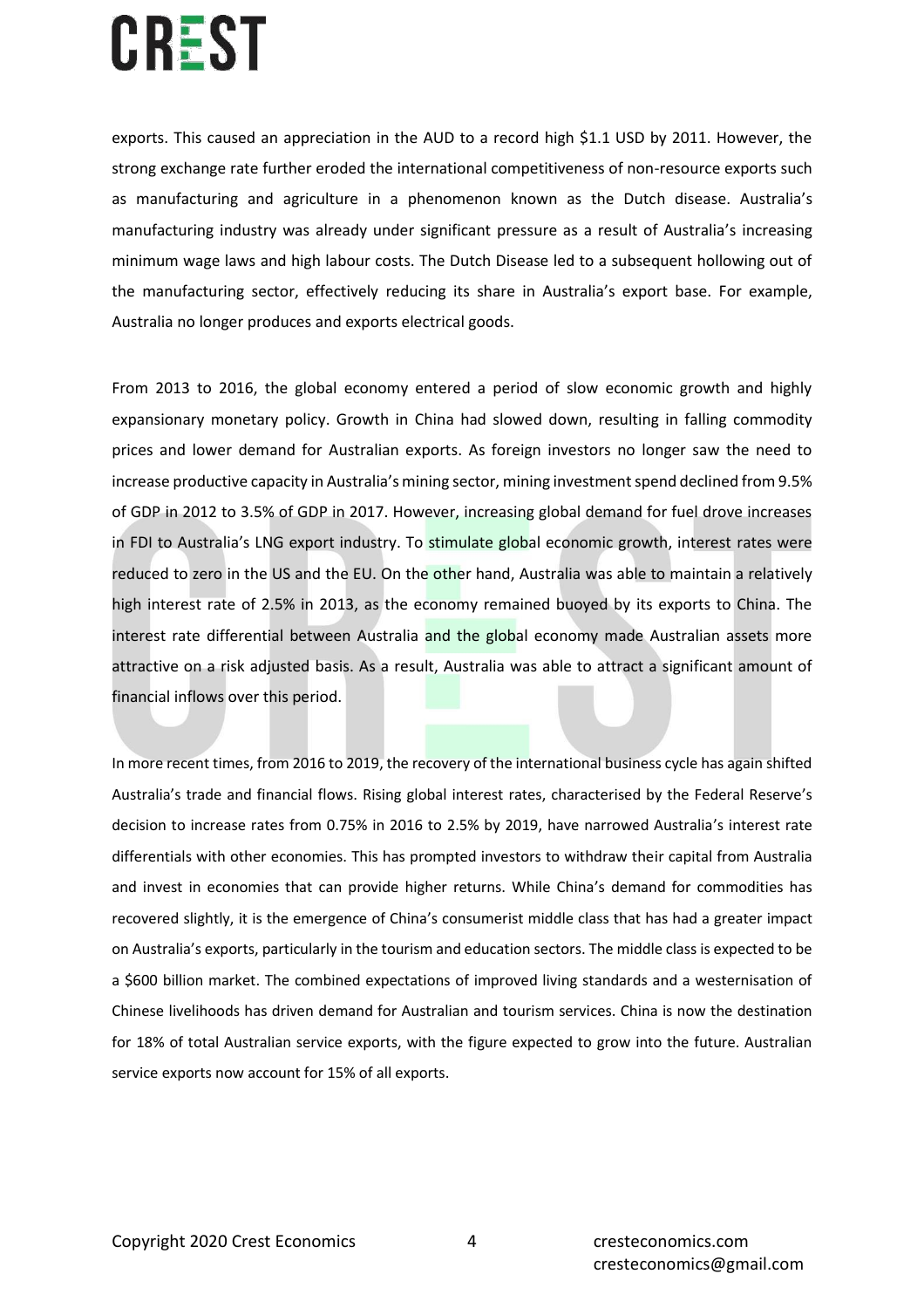exports. This caused an appreciation in the AUD to a record high \$1.1 USD by 2011. However, the strong exchange rate further eroded the international competitiveness of non-resource exports such as manufacturing and agriculture in a phenomenon known as the Dutch disease. Australia's manufacturing industry was already under significant pressure as a result of Australia's increasing minimum wage laws and high labour costs. The Dutch Disease led to a subsequent hollowing out of the manufacturing sector, effectively reducing its share in Australia's export base. For example, Australia no longer produces and exports electrical goods.

From 2013 to 2016, the global economy entered a period of slow economic growth and highly expansionary monetary policy. Growth in China had slowed down, resulting in falling commodity prices and lower demand for Australian exports. As foreign investors no longer saw the need to increase productive capacity in Australia's mining sector, mining investment spend declined from 9.5% of GDP in 2012 to 3.5% of GDP in 2017. However, increasing global demand for fuel drove increases in FDI to Australia's LNG export industry. To stimulate global economic growth, interest rates were reduced to zero in the US and the EU. On the other hand, Australia was able to maintain a relatively high interest rate of 2.5% in 2013, as the economy remained buoyed by its exports to China. The interest rate differential between Australia and the global economy made Australian assets more attractive on a risk adjusted basis. As a result, Australia was able to attract a significant amount of financial inflows over this period.

In more recent times, from 2016 to 2019, the recovery of the international business cycle has again shifted Australia's trade and financial flows. Rising global interest rates, characterised by the Federal Reserve's decision to increase rates from 0.75% in 2016 to 2.5% by 2019, have narrowed Australia's interest rate differentials with other economies. This has prompted investors to withdraw their capital from Australia and invest in economies that can provide higher returns. While China's demand for commodities has recovered slightly, it is the emergence of China's consumerist middle class that has had a greater impact on Australia's exports, particularly in the tourism and education sectors. The middle class is expected to be a \$600 billion market. The combined expectations of improved living standards and a westernisation of Chinese livelihoods has driven demand for Australian and tourism services. China is now the destination for 18% of total Australian service exports, with the figure expected to grow into the future. Australian service exports now account for 15% of all exports.